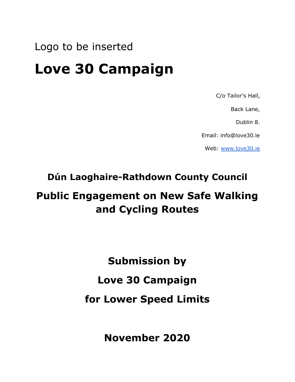## Logo to be inserted

# **Love 30 Campaign**

C/o Tailor's Hall,

Back Lane,

Dublin 8.

Email: info@love30.ie

Web[:](http://www.love30.ie/) [www.love30.ie](http://www.love30.ie/)

#### **Dún Laoghaire-Rathdown County Council**

## **Public Engagement on New Safe Walking and Cycling Routes**

**Submission by**

### **Love 30 Campaign**

### **for Lower Speed Limits**

**November 2020**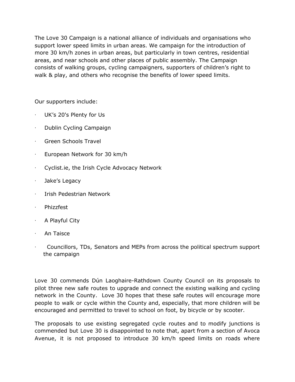The Love 30 Campaign is a national alliance of individuals and organisations who support lower speed limits in urban areas. We campaign for the introduction of more 30 km/h zones in urban areas, but particularly in town centres, residential areas, and near schools and other places of public assembly. The Campaign consists of walking groups, cycling campaigners, supporters of children's right to walk & play, and others who recognise the benefits of lower speed limits.

Our supporters include:

- UK's 20's Plenty for Us
- Dublin Cycling Campaign
- · Green Schools Travel
- European Network for 30 km/h
- Cyclist.ie, the Irish Cycle Advocacy Network
- · Jake's Legacy
- · Irish Pedestrian Network
- **Phizzfest**
- · A Playful City
- · An Taisce
- · Councillors, TDs, Senators and MEPs from across the political spectrum support the campaign

Love 30 commends Dún Laoghaire-Rathdown County Council on its proposals to pilot three new safe routes to upgrade and connect the existing walking and cycling network in the County. Love 30 hopes that these safe routes will encourage more people to walk or cycle within the County and, especially, that more children will be encouraged and permitted to travel to school on foot, by bicycle or by scooter.

The proposals to use existing segregated cycle routes and to modify junctions is commended but Love 30 is disappointed to note that, apart from a section of Avoca Avenue, it is not proposed to introduce 30 km/h speed limits on roads where